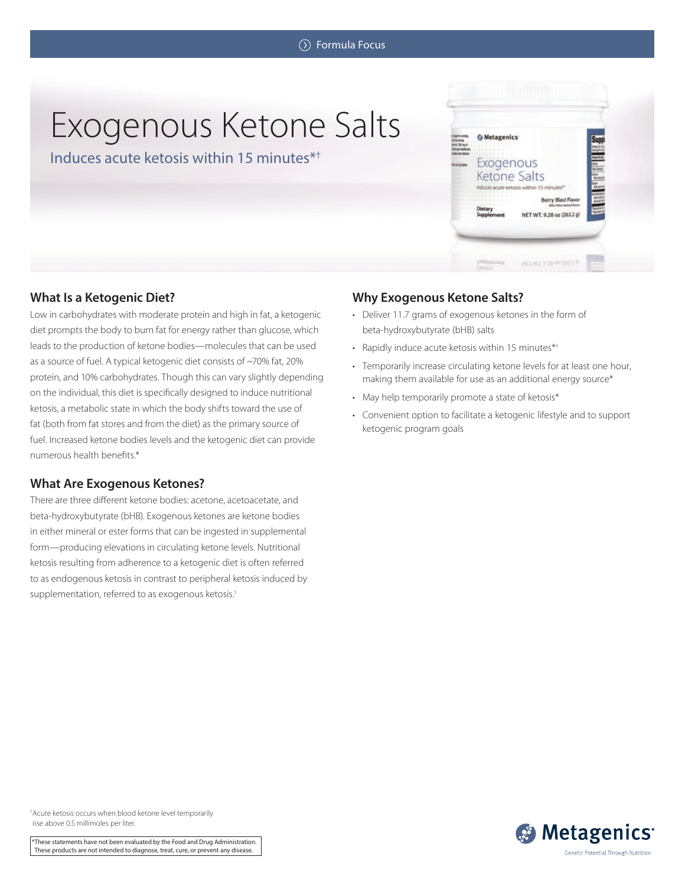# Exogenous Ketone Salts

Induces acute ketosis within 15 minutes\*†



# **What Is a Ketogenic Diet?**

Low in carbohydrates with moderate protein and high in fat, a ketogenic diet prompts the body to burn fat for energy rather than glucose, which leads to the production of ketone bodies—molecules that can be used as a source of fuel. A typical ketogenic diet consists of ~70% fat, 20% protein, and 10% carbohydrates. Though this can vary slightly depending on the individual, this diet is specifically designed to induce nutritional ketosis, a metabolic state in which the body shifts toward the use of fat (both from fat stores and from the diet) as the primary source of fuel. Increased ketone bodies levels and the ketogenic diet can provide numerous health benefits.\*

## **What Are Exogenous Ketones?**

There are three different ketone bodies: acetone, acetoacetate, and beta-hydroxybutyrate (bHB). Exogenous ketones are ketone bodies in either mineral or ester forms that can be ingested in supplemental form—producing elevations in circulating ketone levels. Nutritional ketosis resulting from adherence to a ketogenic diet is often referred to as endogenous ketosis in contrast to peripheral ketosis induced by supplementation, referred to as exogenous ketosis.<sup>1</sup>

# **Why Exogenous Ketone Salts?**

- Deliver 11.7 grams of exogenous ketones in the form of beta-hydroxybutyrate (bHB) salts
- Rapidly induce acute ketosis within 15 minutes\*†
- Temporarily increase circulating ketone levels for at least one hour, making them available for use as an additional energy source\*
- May help temporarily promote a state of ketosis\*
- Convenient option to facilitate a ketogenic lifestyle and to support ketogenic program goals



† Acute ketosis occurs when blood ketone level temporarily rise above 0.5 millimoles per liter.

\*These statements have not been evaluated by the Food and Drug Administration. These products are not intended to diagnose, treat, cure, or prevent any disease.